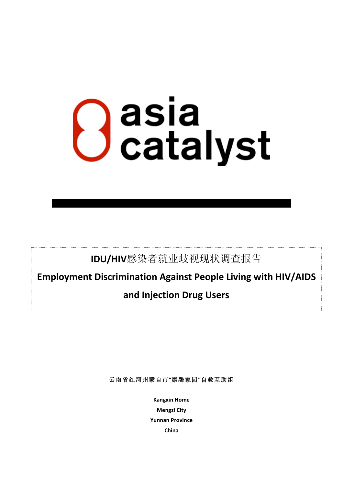# **O** asia<br>Catalyst

IDU/HIV感染者就业歧视现状调查报告

Employment Discrimination Against People Living with HIV/AIDS

# and Injection Drug Users

云南省红河州蒙自市"康馨家园"自救互助组

**Kangxin Home Mengzi City Yunnan Province** China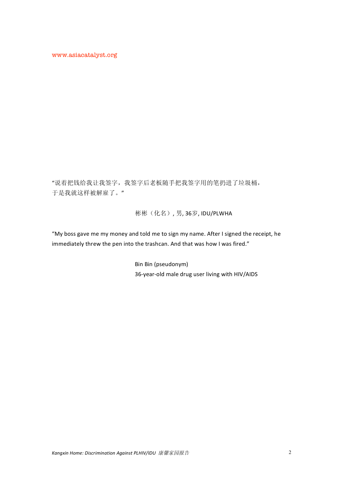"说着把钱给我让我签字,我签字后老板随手把我签字用的笔扔进了垃圾桶, 于是我就这样被解雇了。"

彬彬(化名),男,36岁,IDU/PLWHA

"My boss gave me my money and told me to sign my name. After I signed the receipt, he immediately threw the pen into the trashcan. And that was how I was fired."

> Bin Bin (pseudonym) 36-year-old male drug user living with HIV/AIDS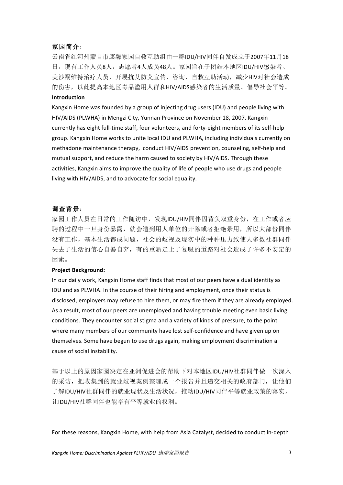### 家园简介:

云南省红河州蒙自市康馨家园自救互助组由一群IDU/HIV同伴自发成立于2007年11月18 日, 现有工作人员8人, 志愿者4人成员48人。家园旨在于团结本地区IDU/HIV感染者、 美沙酮维持治疗人员, 开展抗艾防艾宣传、咨询、自救互助活动, 减少HIV对社会造成 的伤害, 以此提高本地区毒品滥用人群和HIV/AIDS感染者的生活质量、倡导社会平等。

### **Introduction**

Kangxin Home was founded by a group of injecting drug users (IDU) and people living with HIV/AIDS (PLWHA) in Mengzi City, Yunnan Province on November 18, 2007. Kangxin currently has eight full-time staff, four volunteers, and forty-eight members of its self-help group. Kangxin Home works to unite local IDU and PLWHA, including individuals currently on methadone maintenance therapy, conduct HIV/AIDS prevention, counseling, self-help and mutual support, and reduce the harm caused to society by HIV/AIDS. Through these activities, Kangxin aims to improve the quality of life of people who use drugs and people living with HIV/AIDS, and to advocate for social equality.

### 调查背景:

家园工作人员在日常的工作随访中,发现IDU/HIV同伴因背负双重身份,在工作或者应 聘的过程中一旦身份暴露, 就会遭到用人单位的开除或者拒绝录用, 所以大部份同伴 没有工作,基本生活都成问题,社会的歧视及现实中的种种压力致使大多数社群同伴 失去了生活的信心自暴自弃, 有的重新走上了复吸的道路对社会造成了许多不安定的 因素。

### **Project Background:**

In our daily work, Kangxin Home staff finds that most of our peers have a dual identity as IDU and as PLWHA. In the course of their hiring and employment, once their status is disclosed, employers may refuse to hire them, or may fire them if they are already employed. As a result, most of our peers are unemployed and having trouble meeting even basic living conditions. They encounter social stigma and a variety of kinds of pressure, to the point where many members of our community have lost self-confidence and have given up on themselves. Some have begun to use drugs again, making employment discrimination a cause of social instability.

基于以上的原因家园决定在亚洲促进会的帮助下对本地区IDU/HIV社群同伴做一次深入 的采访, 把收集到的就业歧视案例整理成一个报告并且递交相关的政府部门, 让他们 了解IDU/HIV社群同伴的就业现状及生活状况, 推动IDU/HIV同伴平等就业政策的落实, 让IDU/HIV社群同伴也能享有平等就业的权利。

For these reasons. Kangxin Home, with help from Asia Catalyst, decided to conduct in-depth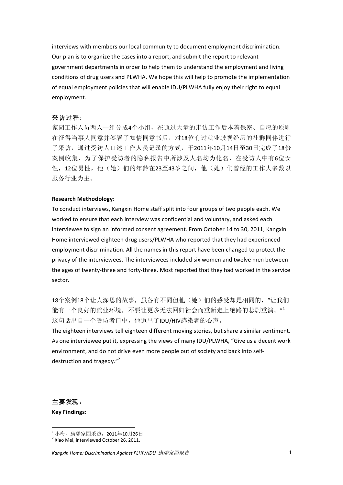interviews with members our local community to document employment discrimination. Our plan is to organize the cases into a report, and submit the report to relevant government departments in order to help them to understand the employment and living conditions of drug users and PLWHA. We hope this will help to promote the implementation of equal employment policies that will enable IDU/PLWHA fully enjoy their right to equal employment.

### 采访过程:

家园工作人员两人一组分成4个小组,在通过大量的走访工作后本着保密、自愿的原则 在征得当事人同意并签署了知情同意书后, 对18位有过就业歧视经历的社群同伴进行 了采访, 通过受访人口述工作人员记录的方式, 于2011年10月14日至30日完成了18份 案例收集,为了保护受访者的隐私报告中所涉及人名均为化名,在受访人中有6位女 性,12位男性,他(她)们的年龄在23至43岁之间,他(她)们曾经的工作大多数以 服务行业为主。

### **Research Methodology:**

To conduct interviews, Kangxin Home staff split into four groups of two people each. We worked to ensure that each interview was confidential and voluntary, and asked each interviewee to sign an informed consent agreement. From October 14 to 30, 2011, Kangxin Home interviewed eighteen drug users/PLWHA who reported that they had experienced employment discrimination. All the names in this report have been changed to protect the privacy of the interviewees. The interviewees included six women and twelve men between the ages of twenty-three and forty-three. Most reported that they had worked in the service sector.

18个案例18个让人深思的故事,虽各有不同但他(她)们的感受却是相同的,"让我们 能有一个良好的就业环境,不要让更多无法回归社会而重新走上绝路的悲剧重演。" 这句话出自一个受访者口中, 他道出了IDU/HIV感染者的心声。

The eighteen interviews tell eighteen different moving stories, but share a similar sentiment. As one interviewee put it, expressing the views of many IDU/PLWHA, "Give us a decent work environment, and do not drive even more people out of society and back into selfdestruction and tragedy."<sup>2</sup>

主要发现: **Key Findings:** 

<sup>&</sup>lt;sup>1</sup> 小梅, 康馨家园采访, 2011年10月26日

<sup>&</sup>lt;sup>2</sup> Xiao Mei, interviewed October 26, 2011.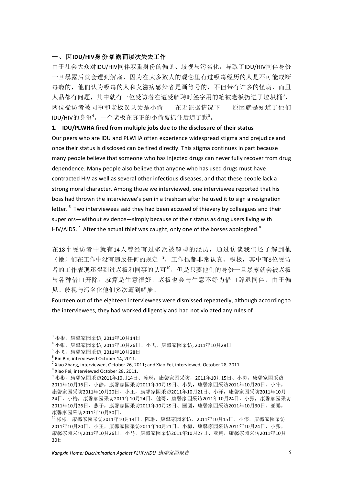### 一、因IDU/HIV身份暴露而屡次失去工作

由于社会大众对IDU/HIV同伴双重身份的偏见、歧视与污名化, 导致了IDU/HIV同伴身份 一旦暴露后就会遭到解雇, 因为在大多数人的观念里有过吸毒经历的人是不可能戒断 毒瘾的, 他们认为吸毒的人和艾滋病感染者是画等号的, 不但带有许多的怪病, 而且 人品都有问题,其中就有一位受访者在遭受解聘时签字用的笔被老板扔进了垃圾桶3, 两位受访者被同事和老板误认为是小偷--在无证据情况下--原因就是知道了他们 IDU/HIV的身份<sup>4</sup>。一个老板在真正的小偷被抓住后道了歉5。

### 1. IDU/PLWHA fired from multiple jobs due to the disclosure of their status

Our peers who are IDU and PLWHA often experience widespread stigma and prejudice and once their status is disclosed can be fired directly. This stigma continues in part because many people believe that someone who has injected drugs can never fully recover from drug dependence. Many people also believe that anyone who has used drugs must have contracted HIV as well as several other infectious diseases, and that these people lack a strong moral character. Among those we interviewed, one interviewee reported that his boss had thrown the interviewee's pen in a trashcan after he used it to sign a resignation letter.<sup>6</sup> Two interviewees said they had been accused of thievery by colleagues and their superiors—without evidence—simply because of their status as drug users living with HIV/AIDS.<sup>7</sup> After the actual thief was caught, only one of the bosses apologized.<sup>8</sup>

在18个受访者中就有14人曾经有过多次被解聘的经历,通过访谈我们还了解到他 (她)们在工作中没有违反任何的规定<sup>9</sup>,工作也都非常认真、积极,其中有8位受访 者的工作表现还得到过老板和同事的认可10, 但是只要他们的身份一旦暴露就会被老板 与各种借口开除, 就算是生意很好, 老板也会与生意不好为借口辞退同伴, 由于偏 见、歧视与污名化他们多次遭到解雇。

Fourteen out of the eighteen interviewees were dismissed repeatedly, although according to the interviewees, they had worked diligently and had not violated any rules of

<sup>&</sup>lt;sup>3</sup> 彬彬, 康馨家园采访 2011年10月14日

<sup>4</sup>小张,康馨家园采访. 2011年10月26日、小飞,康馨家园采访. 2011年10月28日

<sup>5</sup> 小飞, 康馨家园采访. 2011年10月28日

 $6$  Bin Bin, interviewed October 14, 2011.

 $^7$  Xiao Zhang, interviewed, October 26, 2011; and Xiao Fei, interviewed, October 28, 2011

<sup>&</sup>lt;sup>8</sup> Xiao Fei. interviewed October 28, 2011.

<sup>9</sup>彬彬,康馨家园采访2011年10月14日、陈琳,康馨家园采访, 2011年10月15日、小勇,康馨家园采访 2011年10月16日、小静,康馨家园采访2011年10月19日、小吴,康馨家园采访2011年10月20日、小伟, 康馨家园采访2011年10月20日、小王,康馨家园采访2011年10月21日、小泽,康馨家园采访2011年10月 24日、小梅,康馨家园采访2011年10月24日、健哥,康馨家园采访2011年10月24日、小张,康馨家园采访 2011年10月26日、燕子,康馨家园采访2011年10月29日、圆圆,康馨家园采访2011年10月30日、亚鹏, 康馨家园采访2011年10月30日、

<sup>10</sup> 彬彬, 康馨家园采访2011年10月14日、陈琳, 康馨家园采访, 2011年10月15日、小伟, 康馨家园采访 2011年10月20日、小王,康馨家园采访2011年10月21日、小梅,康馨家园采访2011年10月24日、小张, 康馨家园采访2011年10月26日、小马,康馨家园采访2011年10月27日、亚鹏,康馨家园采访2011年10月  $30H$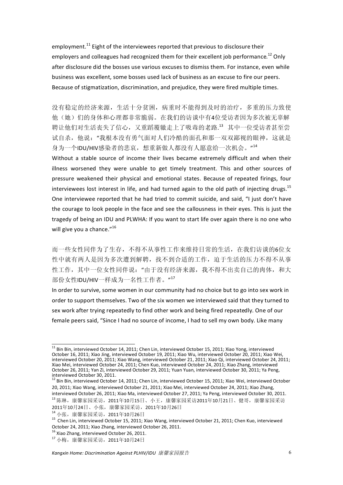employment.<sup>11</sup> Eight of the interviewees reported that previous to disclosure their employers and colleagues had recognized them for their excellent job performance.<sup>12</sup> Only after disclosure did the bosses use various excuses to dismiss them. For instance, even while business was excellent, some bosses used lack of business as an excuse to fire our peers. Because of stigmatization, discrimination, and prejudice, they were fired multiple times.

没有稳定的经济来源,生活十分贫困,病重时不能得到及时的治疗,多重的压力致使 他(她)们的身体和心理都非常脆弱。在我们的访谈中有4位受访者因为多次被无辜解 聘让他们对生活丧失了信心,又重蹈覆辙走上了吸毒的老路.13 其中一位受访者甚至尝 试自杀,他说:"我根本没有勇气面对人们冷酷的面孔和那一双双鄙视的眼神,这就是 身为一个IDU/HIV感染者的悲哀,想重新做人都没有人愿意给一次机会。"<sup>14</sup>

Without a stable source of income their lives became extremely difficult and when their illness worsened they were unable to get timely treatment. This and other sources of pressure weakened their physical and emotional states. Because of repeated firings, four interviewees lost interest in life, and had turned again to the old path of injecting drugs.<sup>15</sup> One interviewee reported that he had tried to commit suicide, and said, "I just don't have the courage to look people in the face and see the callousness in their eyes. This is just the tragedy of being an IDU and PLWHA: If you want to start life over again there is no one who will give you a chance."<sup>16</sup>

而一些女性同伴为了生存,不得不从事性工作来维持日常的生活,在我们访谈的6位女 性中就有两人是因为多次遭到解聘, 找不到合适的工作, 迫于生活的压力不得不从事 性工作, 其中一位女性同伴说: "由于没有经济来源, 我不得不出卖自己的肉体, 和大 部份女性IDU/HIV一样成为一名性工作者。"<sup>17</sup>

In order to survive, some women in our community had no choice but to go into sex work in order to support themselves. Two of the six women we interviewed said that they turned to sex work after trying repeatedly to find other work and being fired repeatedly. One of our female peers said, "Since I had no source of income, I had to sell my own body. Like many

<sup>&</sup>lt;sup>11</sup> Bin Bin. interviewed October 14, 2011; Chen Lin, interviewed October 15, 2011; Xiao Yong, interviewed October 16, 2011; Xiao Jing, interviewed October 19, 2011; Xiao Volgo Interviewed October 20, 2011; Xiao Wei,<br>Interviewed October 16, 2011; Xiao Jing, interviewed October 19, 2011; Xiao Wu, interviewed October 20, 2011;<br>In Xiao Mei, interviewed October 24, 2011; Chen Kuo, interviewed October 24, 2011; Xiao Zhang, interviewed<br>October 26, 2011; Xiao Zhang, interviewed<br>October 26, 2011; Yan Zi, interviewed October 29, 2011; Yuan Yuan, interview interviewed October 30, 2011.<br><sup>12</sup> Bin Bin, interviewed October 30, 2011.<br><sup>12</sup> Bin Bin, interviewed October 14, 2011; Chen Lin, interviewed October 15, 2011; Xiao Wei, interviewed October

<sup>20, 2011;</sup> Xiao Wang, interviewed October 21, 2011; Xiao Mei, interviewed October 24, 2011; Xiao Zhang,

interviewed October 26, 2011; Xiao Ma, interviewed October 27, 2011; Ya Peng, interviewed October 30, 2011. 13陈琳,康馨家园采访, 2011年10月15日、小王, 康馨家园采访2011年10月21日、健哥, 康馨家园采访 2011年10月24日、小张,康馨家园采访, 2011年10月26日

<sup>14</sup> 小张, 康馨家园采访, 2011年10月26日

<sup>&</sup>lt;sup>15</sup> Chen Lin. interviewed October 15, 2011; Xiao Wang, interviewed October 21, 2011; Chen Kuo, interviewed October 24, 2011: Xiao Zhang, interviewed October 26, 2011.

 $\frac{1}{2}$ Xiao Zhang, interviewed October 26, 2011,

<sup>17</sup> 小梅, 康馨家园采访, 2011年10月24日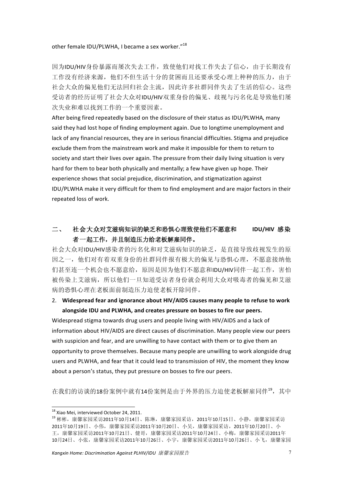### other female IDU/PLWHA, I became a sex worker."<sup>18</sup>

因为IDU/HIV身份暴露而屡次失去工作,致使他们对找工作失去了信心,由于长期没有 工作没有经济来源,他们不但生活十分的贫困而且还要承受心理上种种的压力,由于 社会大众的偏见他们无法回归社会主流,因此许多社群同伴失夫了生活的信心。这些 受访者的经历证明了社会大众对IDU/HIV双重身份的偏见、歧视与污名化是导致他们屡 次失业和难以找到工作的一个重要因素。

After being fired repeatedly based on the disclosure of their status as IDU/PLWHA, many said they had lost hope of finding employment again. Due to longtime unemployment and lack of any financial resources, they are in serious financial difficulties. Stigma and preiudice exclude them from the mainstream work and make it impossible for them to return to society and start their lives over again. The pressure from their daily living situation is very hard for them to bear both physically and mentally; a few have given up hope. Their experience shows that social prejudice, discrimination, and stigmatization against IDU/PLWHA make it very difficult for them to find employment and are major factors in their repeated loss of work.

### 社会大众对艾滋病知识的缺乏和恐惧心理致使他们不愿意和  $\equiv$ . IDU/HIV 感染 者一起工作,并且制造压力给老板解雇同伴。

社会大众对IDU/HIV感染者的污名化和对艾滋病知识的缺乏, 是直接导致歧视发生的原 因之一, 他们对有着双重身份的社群同伴报有极大的偏见与恐惧心理, 不愿意接纳他 们甚至连一个机会也不愿意给, 原因是因为他们不愿意和IDU/HIV同伴一起工作, 害怕 被传染上艾滋病, 所以他们一旦知道受访者身份就会利用大众对吸毒者的偏见和艾滋 病的恐惧心理在老板面前制造压力迫使老板开除同伴。

# 2. Widespread fear and ignorance about HIV/AIDS causes many people to refuse to work alongside IDU and PLWHA, and creates pressure on bosses to fire our peers.

Widespread stigma towards drug users and people living with HIV/AIDS and a lack of information about HIV/AIDS are direct causes of discrimination. Many people view our peers with suspicion and fear, and are unwilling to have contact with them or to give them an opportunity to prove themselves. Because many people are unwilling to work alongside drug users and PLWHA, and fear that it could lead to transmission of HIV, the moment they know about a person's status, they put pressure on bosses to fire our peers.

在我们的访谈的18份案例中就有14份案例是由于外界的压力迫使老板解雇同伴19, 其中

<sup>&</sup>lt;sup>18</sup> Xiao Mei, interviewed October 24, 2011.

<sup>19</sup> 彬彬, 康馨家园采访2011年10月14日、陈琳, 康馨家园采访, 2011年10月15日、小静, 康馨家园采访 2011年10月19日、小伟,康馨家园采访2011年10月20日、小吴,康馨家园采访, 2011年10月20日、小 干,康馨家园采访2011年10月21日、健哥,康馨家园采访2011年10月24日、小梅,康馨家园采访2011年 10月24日、小张,康馨家园采访2011年10月26日、小宇,康馨家园采访2011年10月26日、小飞,康馨家园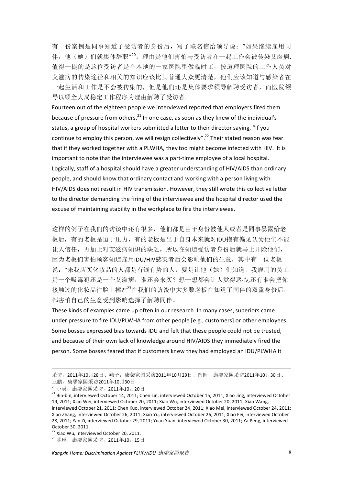有一份案例是同事知道了受访者的身份后,写了联名信给领导说:"如果继续雇用同 伴,他(她)们就集体辞职"<sup>20</sup>。理由是他们害怕与受访者在一起工作会被传染艾滋病. 值得一提的是这位受访者是在本地的一家医院里做临时工, 按道理医院的工作人员对 艾滋病的传染途径和相关的知识应该比其普通大众更清楚, 他们应该知道与感染者在 一起生活和工作是不会被传染的,但是他们还是集体要求领导解聘受访者,而医院领 导以顾全大局稳定工作程序为理由解聘了受访者.

Fourteen out of the eighteen people we interviewed reported that employers fired them because of pressure from others.<sup>21</sup> In one case, as soon as they knew of the individual's status, a group of hospital workers submitted a letter to their director saying, "If you continue to employ this person, we will resign collectively".<sup>22</sup> Their stated reason was fear that if they worked together with a PLWHA, they too might become infected with HIV. It is important to note that the interviewee was a part-time employee of a local hospital. Logically, staff of a hospital should have a greater understanding of HIV/AIDS than ordinary people, and should know that ordinary contact and working with a person living with HIV/AIDS does not result in HIV transmission. However, they still wrote this collective letter to the director demanding the firing of the interviewee and the hospital director used the excuse of maintaining stability in the workplace to fire the interviewee.

这样的例子在我们的访谈中还有很多,他们都是由于身份被他人或者是同事暴露给老 板后,有的老板是迫于压力,有的老板是出于自身本来就对IDU抱有偏见认为他们不能 让人信任,再加上对艾滋病知识的缺乏,所以在知道受访者身份后就马上开除他们, 因为老板们害怕顾客知道雇用IDU/HIV感染者后会影响他们的生意, 其中有一位老板 说: "来我店买化妆品的人都是有钱有势的人, 要是计他(她)们知道, 我雇用的员工 是一个吸毒犯还是一个艾滋病,谁还会来买? 想一想都会让人觉得恶心,还有谁会把你 接触过的化妆品往脸上擦?"23在我们的访谈中大多数老板在知道了同伴的双重身份后, 都害怕自己的生意受到影响选择了解聘同伴。

These kinds of examples came up often in our research. In many cases, superiors came under pressure to fire IDU/PLWHA from other people [e.g., customers] or other employees. Some bosses expressed bias towards IDU and felt that these people could not be trusted, and because of their own lack of knowledge around HIV/AIDS they immediately fired the person. Some bosses feared that if customers knew they had employed an IDU/PLWHA it

采访, 2011年10月28日、燕子, 康馨家园采访2011年10月29日、圆圆, 康馨家园采访2011年10月30日、 亚鹏, 康馨家园采访2011年10月30日

<sup>&</sup>lt;sup>20</sup> 小吴, 康馨家园采访, 2011年10月20日

<sup>&</sup>lt;sup>21</sup> Bin-bin. interviewed October 14, 2011: Chen Lin. interviewed October 15, 2011: Xiao Jing. interviewed October 19, 2011; Xiao Wei, interviewed October 20, 2011; Xiao Wu, interviewed October 20, 2011; Xiao Wang, interviewed October 21, 2011; Chen Kuo, interviewed October 24, 2011; Xiao Mei, interviewed October 24, 2011; Xiao Zhang, interviewed October 26, 2011; Xiao Yu, interviewed October 26, 2011; Xiao Fei, interviewed October 28. 2011: Yan Zi, interviewed October 29. 2011: Yuan Yuan, interviewed October 30. 2011: Ya Peng, interviewed October 30, 2011.

<sup>&</sup>lt;sup>22</sup> Xiao Wu, interviewed October 20, 2011.

<sup>23</sup> 陈琳, 康馨家园采访, 2011年10月15日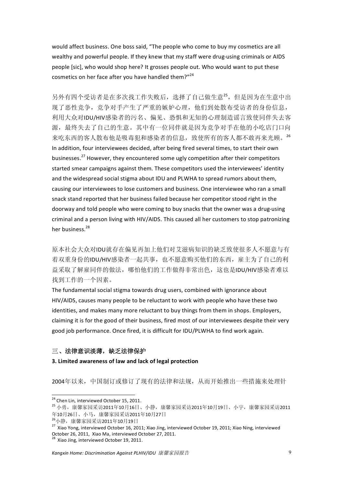would affect business. One boss said, "The people who come to buy my cosmetics are all wealthy and powerful people. If they knew that my staff were drug-using criminals or AIDS people [sic], who would shop here? It grosses people out. Who would want to put these cosmetics on her face after you have handled them?"<sup>24</sup>

另外有四个受访者是在多次找工作失败后,选择了自己做生意25,但是因为在生意中出 现了恶性竞争, 竞争对手产生了严重的嫉妒心理, 他们到处散布受访者的身份信息, 利用大众对IDU/HIV感染者的污名、偏见、恐惧和无知的心理制造谣言致使同伴失去客 源,最终失去了自己的生意。其中有一位同伴就是因为竞争对手在他的小吃店门口向 来吃东西的客人散布他是吸毒犯和感染者的信息, 致使所有的客人都不敢再来光顾。26 In addition, four interviewees decided, after being fired several times, to start their own businesses.<sup>27</sup> However, they encountered some ugly competition after their competitors started smear campaigns against them. These competitors used the interviewees' identity and the widespread social stigma about IDU and PLWHA to spread rumors about them, causing our interviewees to lose customers and business. One interviewee who ran a small snack stand reported that her business failed because her competitor stood right in the doorway and told people who were coming to buy snacks that the owner was a drug-using criminal and a person living with HIV/AIDS. This caused all her customers to stop patronizing her business.<sup>28</sup>

原本社会大众对IDU就存在偏见再加上他们对艾滋病知识的缺乏致使很多人不愿意与有 着双重身份的IDU/HIV感染者一起共事, 也不愿意购买他们的东西, 雇主为了自己的利 益采取了解雇同伴的做法,哪怕他们的工作做得非常出色,这也是IDU/HIV感染者难以 找到工作的一个因素。

The fundamental social stigma towards drug users, combined with ignorance about HIV/AIDS, causes many people to be reluctant to work with people who have these two identities, and makes many more reluctant to buy things from them in shops. Employers, claiming it is for the good of their business, fired most of our interviewees despite their very good job performance. Once fired, it is difficult for IDU/PLWHA to find work again.

## 三、法律意识淡薄, 缺乏法律保护

### 3. Limited awareness of law and lack of legal protection

2004年以来, 中国制订或修订了现有的法律和法规, 从而开始推出一些措施来处理针

<sup>&</sup>lt;sup>24</sup> Chen Lin, interviewed October 15, 2011.

<sup>25</sup> 小勇, 康馨家园采访2011年10月16日、小静, 康馨家园采访2011年10月19日、小宇, 康馨家园采访2011 年10月26日、小马,康馨家园采访2011年10月27日

<sup>&</sup>lt;sup>26</sup>小静, 康馨家园采访2011年10月19日

<sup>&</sup>lt;sup>27</sup> Xiao Yong, interviewed October 16, 2011; Xiao Jing, interviewed October 19, 2011; Xiao Ning, interviewed October 26, 2011, Xiao Ma, interviewed October 27, 2011.

 $^3$  Xiao Jing. interviewed October 19, 2011.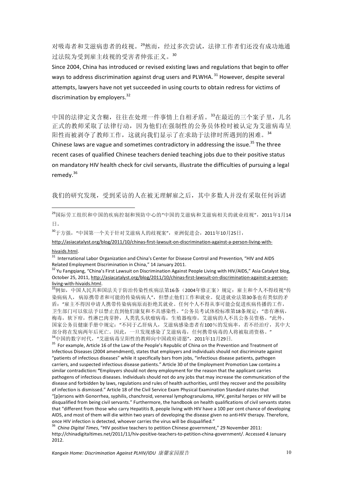对吸毒者和艾滋病患者的歧视。29然而,经过多次尝试,法律工作者们还没有成功地通 讨法院为受到雇主歧视的受害者伸张正义。30

Since 2004, China has introduced or revised existing laws and regulations that begin to offer ways to address discrimination against drug users and PLWHA.<sup>31</sup> However, despite several attempts, lawyers have not yet succeeded in using courts to obtain redress for victims of discrimination by emplovers.<sup>32</sup>

中国的法律定义含糊, 往往在处理一件事情上自相矛盾。33在最近的三个案子里, 几名 正式的教师采取了法律行动, 因为他们在强制性的公务员体检时被认定为艾滋病毒呈 阳性而被剥夺了教师工作,这就向我们显示了在求助于法律时所遇到的困难。34 Chinese laws are vague and sometimes contradictory in addressing the issue.<sup>35</sup> The three recent cases of qualified Chinese teachers denied teaching jobs due to their positive status on mandatory HIV health check for civil servants, illustrate the difficulties of pursuing a legal remedy. $36$ 

我们的研究发现, 受到采访的人在被无理解雇之后, 其中多数人并没有采取任何诉诸

30于方强, "中国第一个关于针对艾滋病人的歧视案", 亚洲促进会, 2011年10月25日,

http://asiacatalyst.org/blog/2011/10/chinas-first-lawsuit-on-discrimination-against-a-person-living-with-

hivaids.html.

<sup>31</sup> International Labor Organization and China's Center for Disease Control and Prevention, "HIV and AIDS Related Employment Discrimination in China," 14 January 2011.

<sup>35</sup> For example, Article 16 of the Law of the People's Republic of China on the Prevention and Treatment of Infectious Diseases (2004 amendment), states that employers and individuals should not discriminate against "patients of infectious diseases" while it specifically bars from jobs, "infectious disease patients, pathogen carriers, and suspected infectious disease patients." Article 30 of the Employment Promotion Law contains a similar contradiction: "Employers should not deny employment for the reason that the applicant carries pathogens of infectious diseases. Individuals should not do any jobs that may increase the communication of the disease and forbidden by laws, regulations and rules of health authorities, until they recover and the possibility of infection is dismissed." Article 18 of the Civil Service Exam Physical Examination Standard states that "[p]ersons with Gonorrhea, syphilis, chanchroid, venereal lymphogranuloma, HPV, genital herpes or HIV will be disqualified from being civil servants." Furthermore, the handbook on health qualifications of civil servants states that "different from those who carry Hepatitis B, people living with HIV have a 100 per cent chance of developing AIDS, and most of them will die within two years of developing the disease given no anti-HIV therapy. Therefore, once HIV infection is detected, whoever carries the virus will be disqualified."

China Digital Times, "HIV positive teachers to petition Chinese government," 29 November 2011: http://chinadigitaltimes.net/2011/11/hiv-positive-teachers-to-petition-china-government/. Accessed 4 January 2012.

<sup>&</sup>lt;sup>29</sup>国际劳工组织和中国的疾病控制和预防中心的"中国的艾滋病和艾滋病相关的就业歧视", 2011年1月14 日。

<sup>&</sup>lt;sup>32</sup> Yu Fangqiang, "China's First Lawsuit on Discrimination Against People Living with HIV/AIDS," Asia Catalyst blog, October 25, 2011, http://asiacatalyst.org/blog/2011/10/chinas-first-lawsuit-on-discrimination-against-a-personliving-with-hivaids.html.

<sup>33</sup>例如, 中国人民共和国法关于防治传染性疾病法第16条 (2004年修正案) 规定: 雇主和个人不得歧视"传 染病病人, 病原携带者和可能的传染病病人", 但禁止他们工作和就业。促进就业法第30条也有类似的矛 盾: "雇主不得因申请人携带传染病病原而拒绝其就业。任何个人不得从事可能会促进疾病传播的工作, 卫生部门可以依法予以禁止直到他们康复和不具感染性。"公务员考试体检标准第18条规定: "患有淋病, 梅毒, 软下疳, 性淋巴肉芽肿, 人类乳头状瘤病毒, 生殖器疱疹, 艾滋病的人不具公务员资格。"此外, 国家公务员健康手册中规定: "不同于乙肝病人, 艾滋病感染患者有100%的发病率, 若不经治疗, 其中大 部分将在发病两年后死亡。因此, 一旦发现感染了艾滋病毒, 任何携带病毒的人将被取消资格。" 34中国的数字时代, "艾滋病毒呈阳性的教师向中国政府请愿", 2011年11月29日.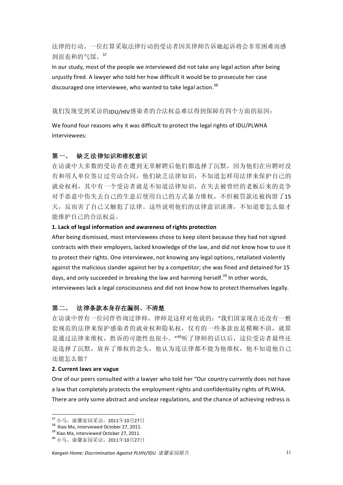法律的行动。一位打算采取法律行动的受访者因其律师告诉她起诉将会非常困难而感 到泪丧和的气馁。37

In our study, most of the people we interviewed did not take any legal action after being unjustly fired. A lawyer who told her how difficult it would be to prosecute her case discouraged one interviewee, who wanted to take legal action.<sup>38</sup>

### 我们发现受到采访的IDU/HIV感染者的合法权益难以得到保障有四个方面的原因:

We found four reasons why it was difficult to protect the legal rights of IDU/PLWHA interviewees:

### 第一、 缺乏法律知识和维权意识

在访谈中大多数的受访者在遭到无辜解聘后他们都选择了沉默,因为他们在应聘时没 有和用人单位签订过劳动合同,他们缺乏法律知识,不知道怎样用法律来保护自己的 就业权利, 其中有一个受访者就是不知道法律知识, 在失去被曾经的老板后来的竞争 对手恶意中伤失去自己的生意后使用自己的方式暴力维权,不但被罚款还被拘留了15 天, 反而害了自己又触犯了法律。这些说明他们的法律意识淡薄, 不知道要怎么做才 能维护自己的合法权益。

### 1. Lack of legal information and awareness of rights protection

After being dismissed, most interviewees chose to keep silent because they had not signed contracts with their employers, lacked knowledge of the law, and did not know how to use it to protect their rights. One interviewee, not knowing any legal options, retaliated violently against the malicious slander against her by a competitor; she was fined and detained for 15 days, and only succeeded in breaking the law and harming herself.<sup>39</sup> In other words, interviewees lack a legal consciousness and did not know how to protect themselves legally.

### 法律条款本身存在漏洞、不清楚 第二、

在访谈中曾有一位同伴咨询过律师,律师是这样对他说的:"我们国家现在还没有一整 套规范的法律来保护感染者的就业权和隐私权, 仅有的一些条款也是模糊不清, 就算 是通过法律来维权,胜诉的可能性也很小。""听了律师的话以后,这位受访者最终还 是选择了沉默, 放弃了维权的念头, 他认为连法律都不能为他维权, 他不知道他自己 还能怎么做?

### 2. Current laws are vague

One of our peers consulted with a lawyer who told her "Our country currently does not have a law that completely protects the employment rights and confidentiality rights of PLWHA. There are only some abstract and unclear regulations, and the chance of achieving redress is

<sup>37</sup> 小马,康馨家园采访, 2011年10月27日

<sup>&</sup>lt;sup>38</sup> Xiao Ma, interviewed October 27, 2011.

<sup>&</sup>lt;sup>39</sup> Xiao Ma, interviewed October 27, 2011.

<sup>40</sup> 小马, 康馨家园采访, 2011年10月27日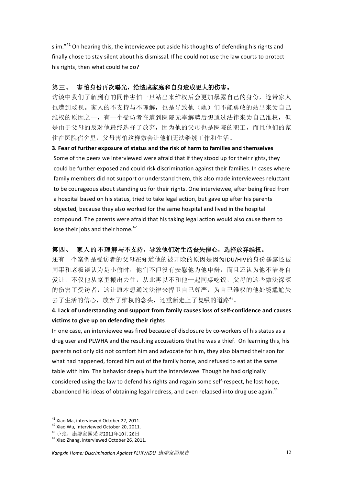slim."41 On hearing this, the interviewee put aside his thoughts of defending his rights and finally chose to stay silent about his dismissal. If he could not use the law courts to protect his rights, then what could he do?

### 第三、 害怕身份再次曝光,给造成家庭和自身造成更大的伤害。

访谈中我们了解到有的同伴害怕一旦站出来维权后会更加暴露自己的身份,连带家人 也遭到歧视。家人的不支持与不理解,也是导致他(她)们不能勇敢的站出来为自己 维权的原因之一,有一个受访者在遭到医院无辜解聘后想通过法律来为自己维权,但 是由于父母的反对他最终选择了放弃, 因为他的父母也是医院的职工, 而且他们的家 住在医院宿舍里, 父母害怕这样做会让他们无法继续工作和生活。

3. Fear of further exposure of status and the risk of harm to families and themselves Some of the peers we interviewed were afraid that if they stood up for their rights, they could be further exposed and could risk discrimination against their families. In cases where family members did not support or understand them, this also made interviewees reluctant to be courageous about standing up for their rights. One interviewee, after being fired from a hospital based on his status, tried to take legal action, but gave up after his parents objected, because they also worked for the same hospital and lived in the hospital compound. The parents were afraid that his taking legal action would also cause them to lose their jobs and their home.<sup>42</sup>

### 家人的不理解与不支持,导致他们对生活丧失信心,选择放弃维权。 第四、

还有一个案例是受访者的父母在知道他的被开除的原因是因为IDU/HIV的身份暴露还被 同事和老板误认为是小偷时, 他们不但没有安慰他为他申辩, 而且还认为他不洁身自 爱让,不仅他从家里搬出去住,从此再以不和他一起同桌吃饭,父母的这些做法深深 的伤害了受访者,这让原本想通过法律来捍卫自己尊严,为自己维权的他处境尴尬失 去了生活的信心, 放弃了维权的念头, 还重新走上了复吸的道路43。

# 4. Lack of understanding and support from family causes loss of self-confidence and causes victims to give up on defending their rights

In one case, an interviewee was fired because of disclosure by co-workers of his status as a drug user and PLWHA and the resulting accusations that he was a thief. On learning this, his parents not only did not comfort him and advocate for him, they also blamed their son for what had happened, forced him out of the family home, and refused to eat at the same table with him. The behavior deeply hurt the interviewee. Though he had originally considered using the law to defend his rights and regain some self-respect, he lost hope, abandoned his ideas of obtaining legal redress, and even relapsed into drug use again.<sup>44</sup>

<sup>&</sup>lt;sup>41</sup> Xiao Ma. interviewed October 27, 2011.

<sup>&</sup>lt;sup>42</sup> Xiao Wu, interviewed October 20, 2011.

<sup>43</sup> 小张,康馨家园采访2011年10月26日

<sup>&</sup>lt;sup>44</sup> Xiao Zhang, interviewed October 26, 2011.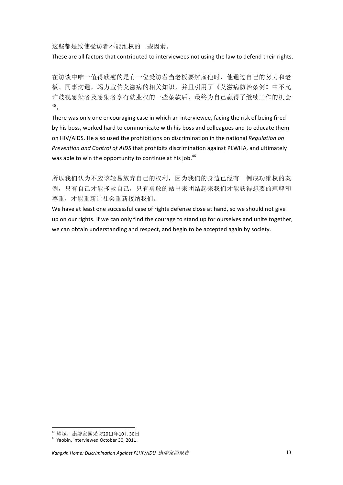这些都是致使受访者不能维权的一些因素。

These are all factors that contributed to interviewees not using the law to defend their rights.

在访谈中唯一值得欣慰的是有一位受访者当老板要解雇他时, 他通过自己的努力和老 板、同事沟通, 竭力官传艾滋病的相关知识, 并且引用了《艾滋病防治条例》中不允 许歧视感染者及感染者享有就业权的一些条款后,最终为自己赢得了继续工作的机会  $45<sub>o</sub>$ 

There was only one encouraging case in which an interviewee, facing the risk of being fired by his boss, worked hard to communicate with his boss and colleagues and to educate them on HIV/AIDS. He also used the prohibitions on discrimination in the national Requigition on Prevention and Control of AIDS that prohibits discrimination against PLWHA, and ultimately was able to win the opportunity to continue at his job.<sup>46</sup>

所以我们认为不应该轻易放弃自己的权利,因为我们的身边已经有一例成功维权的案 例,只有自己才能拯救自己,只有勇敢的站出来团结起来我们才能获得想要的理解和 尊重,才能重新让社会重新接纳我们。

We have at least one successful case of rights defense close at hand, so we should not give up on our rights. If we can only find the courage to stand up for ourselves and unite together, we can obtain understanding and respect, and begin to be accepted again by society.

<sup>45</sup> 耀斌, 康馨家园采访2011年10月30日

<sup>&</sup>lt;sup>46</sup> Yaobin. interviewed October 30, 2011.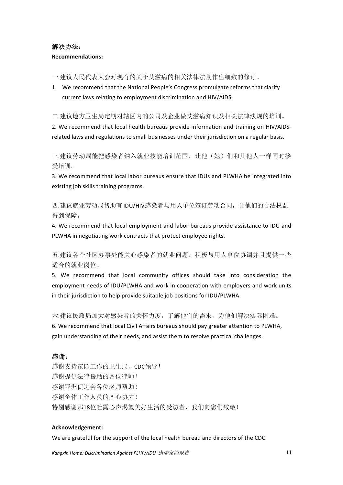# 解决办法: **Recommendations:**

一.建议人民代表大会对现有的关于艾滋病的相关法律法规作出细致的修订。

1. We recommend that the National People's Congress promulgate reforms that clarify current laws relating to employment discrimination and HIV/AIDS.

二.建议地方卫生局定期对辖区内的公司及企业做艾滋病知识及相关法律法规的培训。

2. We recommend that local health bureaus provide information and training on HIV/AIDSrelated laws and regulations to small businesses under their iurisdiction on a regular basis.

三.建议劳动局能把感染者纳入就业技能培训范围, 让他(她)们和其他人一样同时接 受培训。

3. We recommend that local labor bureaus ensure that IDUs and PLWHA be integrated into existing job skills training programs.

四.建议就业劳动局帮助有IDU/HIV感染者与用人单位签订劳动合同, 计他们的合法权益 得到保障。

4. We recommend that local employment and labor bureaus provide assistance to IDU and PLWHA in negotiating work contracts that protect employee rights.

五.建议各个社区办事处能关心感染者的就业问题,积极与用人单位协调并且提供一些 适合的就业岗位。

5. We recommend that local community offices should take into consideration the employment needs of IDU/PLWHA and work in cooperation with employers and work units in their jurisdiction to help provide suitable job positions for IDU/PLWHA.

六.建议民政局加大对感染者的关怀力度,了解他们的需求,为他们解决实际困难。 6. We recommend that local Civil Affairs bureaus should pay greater attention to PLWHA, gain understanding of their needs, and assist them to resolve practical challenges.

# 感谢:

感谢支持家园工作的卫生局、CDC领导! 感谢提供法律援助的各位律师! 感谢亚洲促进会各位老师帮助! 感谢全体工作人员的齐心协力! 特别感谢那18位吐露心声渴望美好生活的受访者,我们向您们致敬!

## Acknowledgement:

We are grateful for the support of the local health bureau and directors of the CDC!

Kangxin Home: Discrimination Against PLHIV/IDU 康馨家园报告